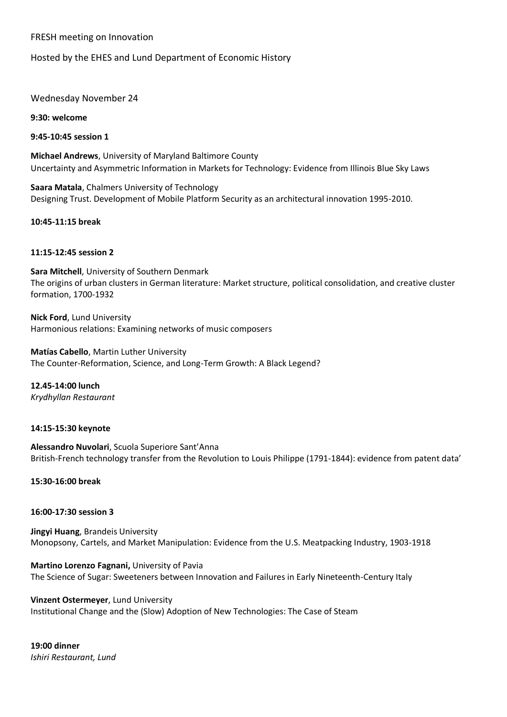## FRESH meeting on Innovation

# Hosted by the EHES and Lund Department of Economic History

## Wednesday November 24

**9:30: welcome**

**9:45-10:45 session 1** 

**Michael Andrews**, University of Maryland Baltimore County Uncertainty and Asymmetric Information in Markets for Technology: Evidence from Illinois Blue Sky Laws

**Saara Matala**, Chalmers University of Technology Designing Trust. Development of Mobile Platform Security as an architectural innovation 1995-2010.

**10:45-11:15 break**

## **11:15-12:45 session 2**

**Sara Mitchell**, University of Southern Denmark The origins of urban clusters in German literature: Market structure, political consolidation, and creative cluster formation, 1700-1932

**Nick Ford**, Lund University Harmonious relations: Examining networks of music composers

**Matías Cabello**, Martin Luther University The Counter-Reformation, Science, and Long-Term Growth: A Black Legend?

**12.45-14:00 lunch** *Krydhyllan Restaurant*

### **14:15-15:30 keynote**

**Alessandro Nuvolari**, Scuola Superiore Sant'Anna British-French technology transfer from the Revolution to Louis Philippe (1791-1844): evidence from patent data'

**15:30-16:00 break**

### **16:00-17:30 session 3**

**Jingyi Huang**, Brandeis University Monopsony, Cartels, and Market Manipulation: Evidence from the U.S. Meatpacking Industry, 1903-1918

**Martino Lorenzo Fagnani,** University of Pavia The Science of Sugar: Sweeteners between Innovation and Failures in Early Nineteenth-Century Italy

**Vinzent Ostermeyer**, Lund University Institutional Change and the (Slow) Adoption of New Technologies: The Case of Steam

**19:00 dinner** *Ishiri Restaurant, Lund*